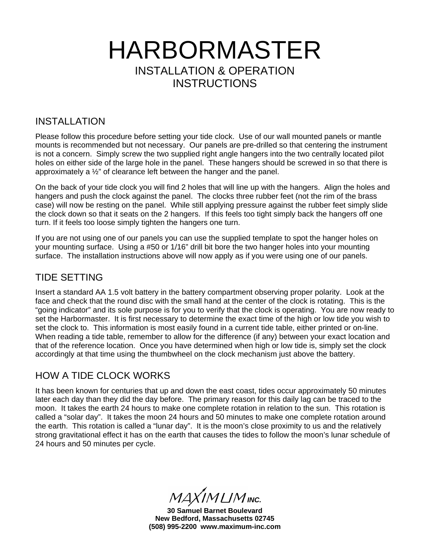# HARBORMASTER INSTALLATION & OPERATION **INSTRUCTIONS**

#### INSTALLATION

Please follow this procedure before setting your tide clock. Use of our wall mounted panels or mantle mounts is recommended but not necessary. Our panels are pre-drilled so that centering the instrument is not a concern. Simply screw the two supplied right angle hangers into the two centrally located pilot holes on either side of the large hole in the panel. These hangers should be screwed in so that there is approximately a ½" of clearance left between the hanger and the panel.

On the back of your tide clock you will find 2 holes that will line up with the hangers. Align the holes and hangers and push the clock against the panel. The clocks three rubber feet (not the rim of the brass case) will now be resting on the panel. While still applying pressure against the rubber feet simply slide the clock down so that it seats on the 2 hangers. If this feels too tight simply back the hangers off one turn. If it feels too loose simply tighten the hangers one turn.

If you are not using one of our panels you can use the supplied template to spot the hanger holes on your mounting surface. Using a #50 or 1/16" drill bit bore the two hanger holes into your mounting surface. The installation instructions above will now apply as if you were using one of our panels.

#### TIDE SETTING

Insert a standard AA 1.5 volt battery in the battery compartment observing proper polarity. Look at the face and check that the round disc with the small hand at the center of the clock is rotating. This is the "going indicator" and its sole purpose is for you to verify that the clock is operating. You are now ready to set the Harbormaster. It is first necessary to determine the exact time of the high or low tide you wish to set the clock to. This information is most easily found in a current tide table, either printed or on-line. When reading a tide table, remember to allow for the difference (if any) between your exact location and that of the reference location. Once you have determined when high or low tide is, simply set the clock accordingly at that time using the thumbwheel on the clock mechanism just above the battery.

## HOW A TIDE CLOCK WORKS

It has been known for centuries that up and down the east coast, tides occur approximately 50 minutes later each day than they did the day before. The primary reason for this daily lag can be traced to the moon. It takes the earth 24 hours to make one complete rotation in relation to the sun. This rotation is called a "solar day". It takes the moon 24 hours and 50 minutes to make one complete rotation around the earth. This rotation is called a "lunar day". It is the moon's close proximity to us and the relatively strong gravitational effect it has on the earth that causes the tides to follow the moon's lunar schedule of 24 hours and 50 minutes per cycle.

 $MAXIMLIM$  INC.

**30 Samuel Barnet Boulevard New Bedford, Massachusetts 02745 (508) 995-2200 www.maximum-inc.com**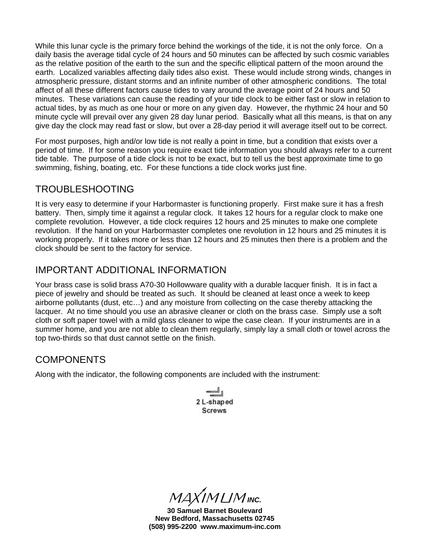While this lunar cycle is the primary force behind the workings of the tide, it is not the only force. On a daily basis the average tidal cycle of 24 hours and 50 minutes can be affected by such cosmic variables as the relative position of the earth to the sun and the specific elliptical pattern of the moon around the earth. Localized variables affecting daily tides also exist. These would include strong winds, changes in atmospheric pressure, distant storms and an infinite number of other atmospheric conditions. The total affect of all these different factors cause tides to vary around the average point of 24 hours and 50 minutes. These variations can cause the reading of your tide clock to be either fast or slow in relation to actual tides, by as much as one hour or more on any given day. However, the rhythmic 24 hour and 50 minute cycle will prevail over any given 28 day lunar period. Basically what all this means, is that on any give day the clock may read fast or slow, but over a 28-day period it will average itself out to be correct.

For most purposes, high and/or low tide is not really a point in time, but a condition that exists over a period of time. If for some reason you require exact tide information you should always refer to a current tide table. The purpose of a tide clock is not to be exact, but to tell us the best approximate time to go swimming, fishing, boating, etc. For these functions a tide clock works just fine.

## TROUBLESHOOTING

It is very easy to determine if your Harbormaster is functioning properly. First make sure it has a fresh battery. Then, simply time it against a regular clock. It takes 12 hours for a regular clock to make one complete revolution. However, a tide clock requires 12 hours and 25 minutes to make one complete revolution. If the hand on your Harbormaster completes one revolution in 12 hours and 25 minutes it is working properly. If it takes more or less than 12 hours and 25 minutes then there is a problem and the clock should be sent to the factory for service.

## IMPORTANT ADDITIONAL INFORMATION

Your brass case is solid brass A70-30 Hollowware quality with a durable lacquer finish. It is in fact a piece of jewelry and should be treated as such. It should be cleaned at least once a week to keep airborne pollutants (dust, etc…) and any moisture from collecting on the case thereby attacking the lacquer. At no time should you use an abrasive cleaner or cloth on the brass case. Simply use a soft cloth or soft paper towel with a mild glass cleaner to wipe the case clean. If your instruments are in a summer home, and you are not able to clean them regularly, simply lay a small cloth or towel across the top two-thirds so that dust cannot settle on the finish.

#### **COMPONENTS**

Along with the indicator, the following components are included with the instrument:

2 L-shaped **Screws** 

 $MAXIMLM$  Inc.

**30 Samuel Barnet Boulevard New Bedford, Massachusetts 02745 (508) 995-2200 www.maximum-inc.com**